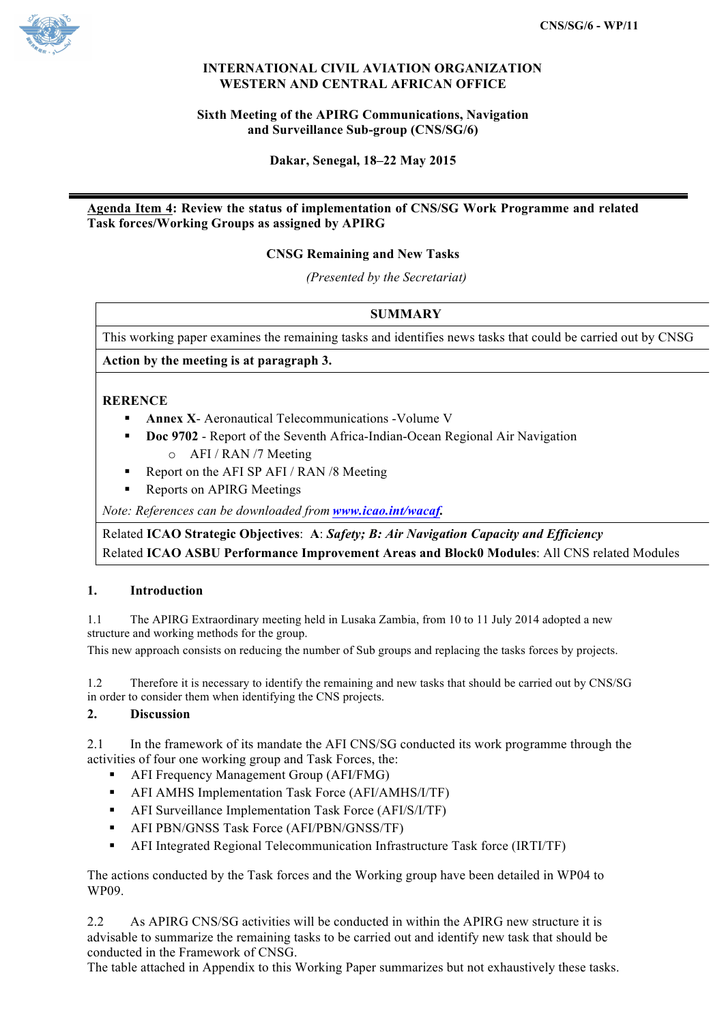

# **INTERNATIONAL CIVIL AVIATION ORGANIZATION WESTERN AND CENTRAL AFRICAN OFFICE**

#### **Sixth Meeting of the APIRG Communications, Navigation and Surveillance Sub-group (CNS/SG/6)**

**Dakar, Senegal, 18–22 May 2015**

# **Agenda Item 4: Review the status of implementation of CNS/SG Work Programme and related Task forces/Working Groups as assigned by APIRG**

## **CNSG Remaining and New Tasks**

*(Presented by the Secretariat)*

# **SUMMARY**

This working paper examines the remaining tasks and identifies news tasks that could be carried out by CNSG

**Action by the meeting is at paragraph 3.**

#### **RERENCE**

- § **Annex X** Aeronautical Telecommunications -Volume V
- **Doc 9702** Report of the Seventh Africa-Indian-Ocean Regional Air Navigation o AFI / RAN /7 Meeting
- § Report on the AFI SP AFI / RAN /8 Meeting
- § Reports on APIRG Meetings

*Note: References can be downloaded from www.icao.int/wacaf.*

Related **ICAO Strategic Objectives**: **A**: *Safety; B: Air Navigation Capacity and Efficiency* Related **ICAO ASBU Performance Improvement Areas and Block0 Modules**: All CNS related Modules

#### **1. Introduction**

1.1 The APIRG Extraordinary meeting held in Lusaka Zambia, from 10 to 11 July 2014 adopted a new structure and working methods for the group.

This new approach consists on reducing the number of Sub groups and replacing the tasks forces by projects.

1.2 Therefore it is necessary to identify the remaining and new tasks that should be carried out by CNS/SG in order to consider them when identifying the CNS projects.

#### **2. Discussion**

2.1 In the framework of its mandate the AFI CNS/SG conducted its work programme through the activities of four one working group and Task Forces, the:

- AFI Frequency Management Group (AFI/FMG)
- AFI AMHS Implementation Task Force (AFI/AMHS/I/TF)
- AFI Surveillance Implementation Task Force (AFI/S/I/TF)
- AFI PBN/GNSS Task Force (AFI/PBN/GNSS/TF)
- § AFI Integrated Regional Telecommunication Infrastructure Task force (IRTI/TF)

The actions conducted by the Task forces and the Working group have been detailed in WP04 to WP09.

2.2 As APIRG CNS/SG activities will be conducted in within the APIRG new structure it is advisable to summarize the remaining tasks to be carried out and identify new task that should be conducted in the Framework of CNSG.

The table attached in Appendix to this Working Paper summarizes but not exhaustively these tasks.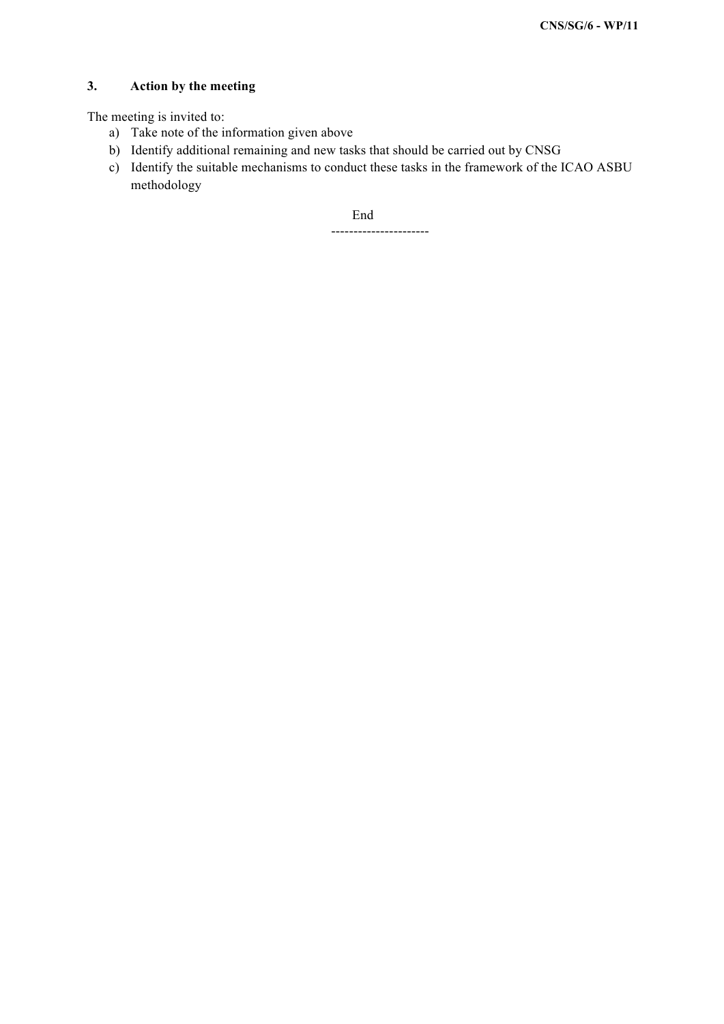## **3. Action by the meeting**

The meeting is invited to:

- a) Take note of the information given above
- b) Identify additional remaining and new tasks that should be carried out by CNSG
- c) Identify the suitable mechanisms to conduct these tasks in the framework of the ICAO ASBU methodology

End ----------------------